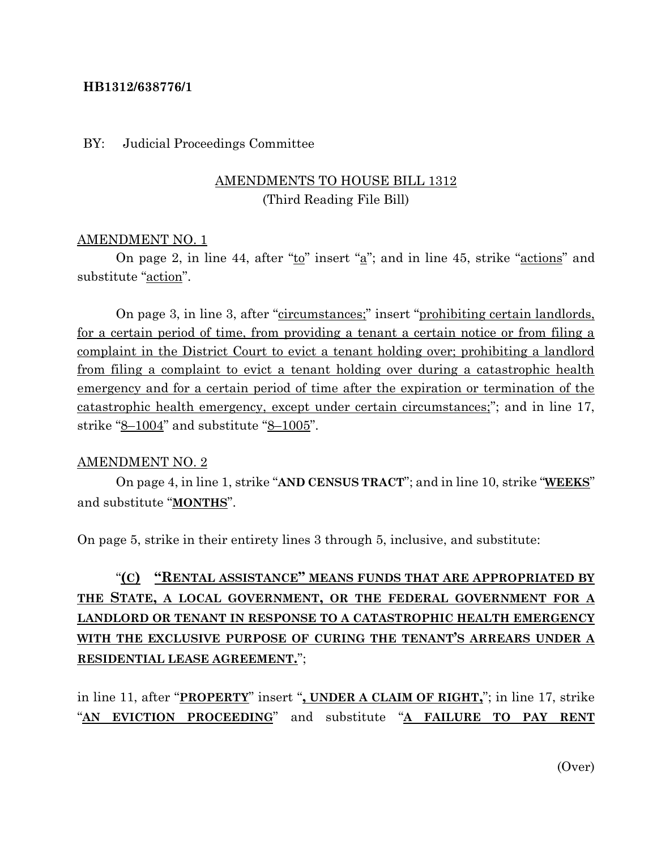#### **HB1312/638776/1**

#### BY: Judicial Proceedings Committee

### AMENDMENTS TO HOUSE BILL 1312 (Third Reading File Bill)

#### AMENDMENT NO. 1

On page 2, in line 44, after " $\underline{t}$ " insert " $\underline{a}$ "; and in line 45, strike " $\underline{actions}$ " and substitute "action".

On page 3, in line 3, after "circumstances;" insert "prohibiting certain landlords, for a certain period of time, from providing a tenant a certain notice or from filing a complaint in the District Court to evict a tenant holding over; prohibiting a landlord from filing a complaint to evict a tenant holding over during a catastrophic health emergency and for a certain period of time after the expiration or termination of the catastrophic health emergency, except under certain circumstances;"; and in line 17, strike "8–1004" and substitute "8–1005".

#### AMENDMENT NO. 2

On page 4, in line 1, strike "**AND CENSUS TRACT**"; and in line 10, strike "**WEEKS**" and substitute "**MONTHS**".

On page 5, strike in their entirety lines 3 through 5, inclusive, and substitute:

## "**(C) "RENTAL ASSISTANCE" MEANS FUNDS THAT ARE APPROPRIATED BY THE STATE, A LOCAL GOVERNMENT, OR THE FEDERAL GOVERNMENT FOR A LANDLORD OR TENANT IN RESPONSE TO A CATASTROPHIC HEALTH EMERGENCY WITH THE EXCLUSIVE PURPOSE OF CURING THE TENANT'S ARREARS UNDER A RESIDENTIAL LEASE AGREEMENT.**";

in line 11, after "**PROPERTY**" insert "**, UNDER A CLAIM OF RIGHT,**"; in line 17, strike "**AN EVICTION PROCEEDING**" and substitute "**A FAILURE TO PAY RENT**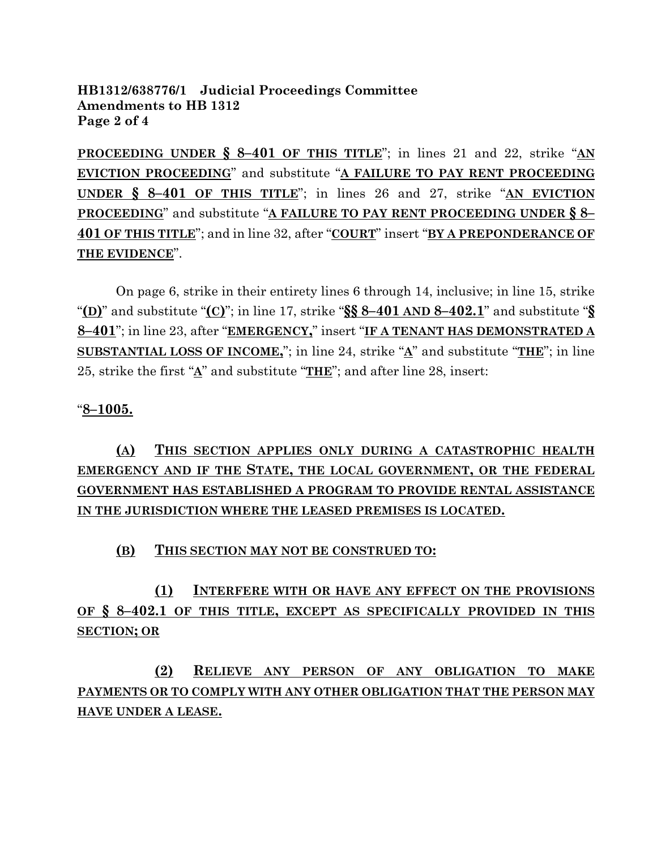### **HB1312/638776/1 Judicial Proceedings Committee Amendments to HB 1312 Page 2 of 4**

**PROCEEDING UNDER § 8–401 OF THIS TITLE**"; in lines 21 and 22, strike "**AN EVICTION PROCEEDING**" and substitute "**A FAILURE TO PAY RENT PROCEEDING UNDER § 8–401 OF THIS TITLE**"; in lines 26 and 27, strike "**AN EVICTION PROCEEDING**" and substitute "**A FAILURE TO PAY RENT PROCEEDING UNDER § 8– 401 OF THIS TITLE**"; and in line 32, after "**COURT**" insert "**BY A PREPONDERANCE OF THE EVIDENCE**".

On page 6, strike in their entirety lines 6 through 14, inclusive; in line 15, strike "**(D)**" and substitute "**(C)**"; in line 17, strike "**§§ 8–401 AND 8–402.1**" and substitute "**§ 8–401**"; in line 23, after "**EMERGENCY,**" insert "**IF A TENANT HAS DEMONSTRATED A SUBSTANTIAL LOSS OF INCOME,**"; in line 24, strike "**A**" and substitute "**THE**"; in line 25, strike the first "**A**" and substitute "**THE**"; and after line 28, insert:

## "**8–1005.**

**(A) THIS SECTION APPLIES ONLY DURING A CATASTROPHIC HEALTH EMERGENCY AND IF THE STATE, THE LOCAL GOVERNMENT, OR THE FEDERAL GOVERNMENT HAS ESTABLISHED A PROGRAM TO PROVIDE RENTAL ASSISTANCE IN THE JURISDICTION WHERE THE LEASED PREMISES IS LOCATED.**

### **(B) THIS SECTION MAY NOT BE CONSTRUED TO:**

**(1) INTERFERE WITH OR HAVE ANY EFFECT ON THE PROVISIONS OF § 8–402.1 OF THIS TITLE, EXCEPT AS SPECIFICALLY PROVIDED IN THIS SECTION; OR**

# **(2) RELIEVE ANY PERSON OF ANY OBLIGATION TO MAKE PAYMENTS OR TO COMPLY WITH ANY OTHER OBLIGATION THAT THE PERSON MAY HAVE UNDER A LEASE.**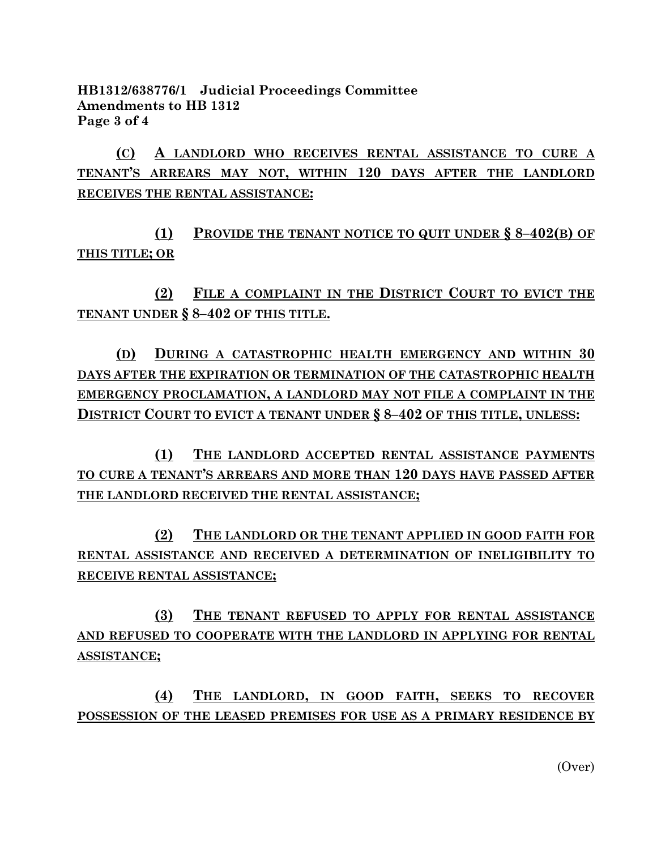**HB1312/638776/1 Judicial Proceedings Committee Amendments to HB 1312 Page 3 of 4**

**(C) A LANDLORD WHO RECEIVES RENTAL ASSISTANCE TO CURE A TENANT'S ARREARS MAY NOT, WITHIN 120 DAYS AFTER THE LANDLORD RECEIVES THE RENTAL ASSISTANCE:**

**(1) PROVIDE THE TENANT NOTICE TO QUIT UNDER § 8–402(B) OF THIS TITLE; OR**

**(2) FILE A COMPLAINT IN THE DISTRICT COURT TO EVICT THE TENANT UNDER § 8–402 OF THIS TITLE.**

**(D) DURING A CATASTROPHIC HEALTH EMERGENCY AND WITHIN 30 DAYS AFTER THE EXPIRATION OR TERMINATION OF THE CATASTROPHIC HEALTH EMERGENCY PROCLAMATION, A LANDLORD MAY NOT FILE A COMPLAINT IN THE DISTRICT COURT TO EVICT A TENANT UNDER § 8–402 OF THIS TITLE, UNLESS:**

**(1) THE LANDLORD ACCEPTED RENTAL ASSISTANCE PAYMENTS TO CURE A TENANT'S ARREARS AND MORE THAN 120 DAYS HAVE PASSED AFTER THE LANDLORD RECEIVED THE RENTAL ASSISTANCE;**

**(2) THE LANDLORD OR THE TENANT APPLIED IN GOOD FAITH FOR RENTAL ASSISTANCE AND RECEIVED A DETERMINATION OF INELIGIBILITY TO RECEIVE RENTAL ASSISTANCE;**

**(3) THE TENANT REFUSED TO APPLY FOR RENTAL ASSISTANCE AND REFUSED TO COOPERATE WITH THE LANDLORD IN APPLYING FOR RENTAL ASSISTANCE;**

**(4) THE LANDLORD, IN GOOD FAITH, SEEKS TO RECOVER POSSESSION OF THE LEASED PREMISES FOR USE AS A PRIMARY RESIDENCE BY**

(Over)